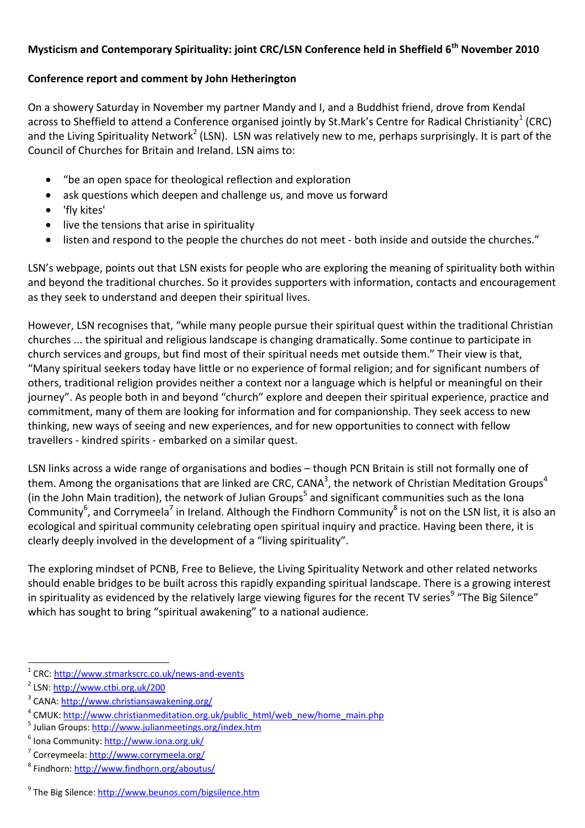## **Mysticism and Contemporary Spirituality: joint CRC/LSN Conference held in Sheffield 6th November 2010**

## **Conference report and comment by John Hetherington**

On a showery Saturday in November my partner Mandy and I, and a Buddhist friend, drove from Kendal across to Sheffield to attend a Conference organised jointly by St.Mark's Centre for Radical Christianity<sup>1</sup> (CRC) and the Living Spirituality Network<sup>2</sup> (LSN). LSN was relatively new to me, perhaps surprisingly. It is part of the Council of Churches for Britain and Ireland. LSN aims to:

- "be an open space for theological reflection and exploration
- ask questions which deepen and challenge us, and move us forward
- 'fly kites'
- live the tensions that arise in spirituality
- listen and respond to the people the churches do not meet both inside and outside the churches."

LSN's webpage, points out that LSN exists for people who are exploring the meaning of spirituality both within and beyond the traditional churches. So it provides supporters with information, contacts and encouragement as they seek to understand and deepen their spiritual lives.

However, LSN recognises that, "while many people pursue their spiritual quest within the traditional Christian churches ... the spiritual and religious landscape is changing dramatically. Some continue to participate in church services and groups, but find most of their spiritual needs met outside them." Their view is that, "Many spiritual seekers today have little or no experience of formal religion; and for significant numbers of others, traditional religion provides neither a context nor a language which is helpful or meaningful on their journey". As people both in and beyond "church" explore and deepen their spiritual experience, practice and commitment, many of them are looking for information and for companionship. They seek access to new thinking, new ways of seeing and new experiences, and for new opportunities to connect with fellow travellers - kindred spirits - embarked on a similar quest.

LSN links across a wide range of organisations and bodies – though PCN Britain is still not formally one of them. Among the organisations that are linked are CRC, CANA<sup>3</sup>, the network of Christian Meditation Groups<sup>4</sup> (in the John Main tradition), the network of Julian Groups<sup>5</sup> and significant communities such as the Iona Community<sup>6</sup>, and Corrymeela<sup>7</sup> in Ireland. Although the Findhorn Community<sup>8</sup> is not on the LSN list, it is also an ecological and spiritual community celebrating open spiritual inquiry and practice. Having been there, it is clearly deeply involved in the development of a "living spirituality".

The exploring mindset of PCNB, Free to Believe, the Living Spirituality Network and other related networks should enable bridges to be built across this rapidly expanding spiritual landscape. There is a growing interest in spirituality as evidenced by the relatively large viewing figures for the recent TV series<sup>9</sup> "The Big Silence" which has sought to bring "spiritual awakening" to a national audience.

 $\overline{a}$ 

<sup>&</sup>lt;sup>1</sup> CRC:  $\frac{http://www.stmarkscrc.co.uk/news-and-events}{http://www.stmarkscrc.co.uk/news-and-events}$ 

<sup>&</sup>lt;sup>2</sup> LSN: http://www.ctbi.org.uk/200

<sup>&</sup>lt;sup>3</sup> CANA: http://www.christiansawakening.org/

<sup>&</sup>lt;sup>4</sup> CMUK: http://www.christianmeditation.org.uk/public\_html/web\_new/home\_main.php

<sup>&</sup>lt;sup>5</sup> Julian Groups: http://www.julianmeetings.org/index.htm

<sup>&</sup>lt;sup>6</sup> Iona Community: http://www.iona.org.uk/

<sup>&</sup>lt;sup>7</sup> Correymeela: <u>http://www.corrymeela.org/</u><br><sup>8</sup> Findhorm http://www.findhorp.org/oboutu

Findhorn: http://www.findhorn.org/aboutus/

<sup>&</sup>lt;sup>9</sup> The Big Silence: http://www.beunos.com/bigsilence.htm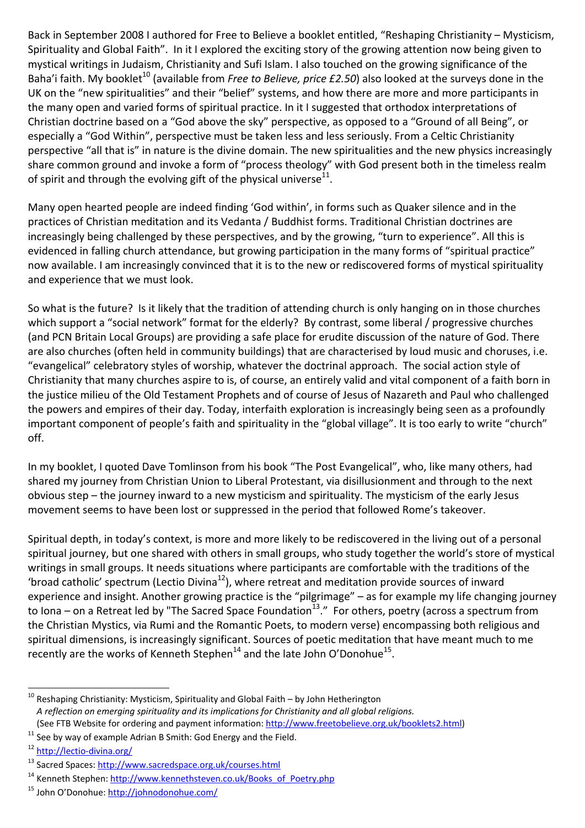Back in September 2008 I authored for Free to Believe a booklet entitled, "Reshaping Christianity – Mysticism, Spirituality and Global Faith". In it I explored the exciting story of the growing attention now being given to mystical writings in Judaism, Christianity and Sufi Islam. I also touched on the growing significance of the Baha'i faith. My booklet<sup>10</sup> (available from *Free to Believe, price £2.50*) also looked at the surveys done in the UK on the "new spiritualities" and their "belief" systems, and how there are more and more participants in the many open and varied forms of spiritual practice. In it I suggested that orthodox interpretations of Christian doctrine based on a "God above the sky" perspective, as opposed to a "Ground of all Being", or especially a "God Within", perspective must be taken less and less seriously. From a Celtic Christianity perspective "all that is" in nature is the divine domain. The new spiritualities and the new physics increasingly share common ground and invoke a form of "process theology" with God present both in the timeless realm of spirit and through the evolving gift of the physical universe  $11$ .

Many open hearted people are indeed finding 'God within', in forms such as Quaker silence and in the practices of Christian meditation and its Vedanta / Buddhist forms. Traditional Christian doctrines are increasingly being challenged by these perspectives, and by the growing, "turn to experience". All this is evidenced in falling church attendance, but growing participation in the many forms of "spiritual practice" now available. I am increasingly convinced that it is to the new or rediscovered forms of mystical spirituality and experience that we must look.

So what is the future? Is it likely that the tradition of attending church is only hanging on in those churches which support a "social network" format for the elderly? By contrast, some liberal / progressive churches (and PCN Britain Local Groups) are providing a safe place for erudite discussion of the nature of God. There are also churches (often held in community buildings) that are characterised by loud music and choruses, i.e. "evangelical" celebratory styles of worship, whatever the doctrinal approach. The social action style of Christianity that many churches aspire to is, of course, an entirely valid and vital component of a faith born in the justice milieu of the Old Testament Prophets and of course of Jesus of Nazareth and Paul who challenged the powers and empires of their day. Today, interfaith exploration is increasingly being seen as a profoundly important component of people's faith and spirituality in the "global village". It is too early to write "church" off.

In my booklet, I quoted Dave Tomlinson from his book "The Post Evangelical", who, like many others, had shared my journey from Christian Union to Liberal Protestant, via disillusionment and through to the next obvious step – the journey inward to a new mysticism and spirituality. The mysticism of the early Jesus movement seems to have been lost or suppressed in the period that followed Rome's takeover.

Spiritual depth, in today's context, is more and more likely to be rediscovered in the living out of a personal spiritual journey, but one shared with others in small groups, who study together the world's store of mystical writings in small groups. It needs situations where participants are comfortable with the traditions of the 'broad catholic' spectrum (Lectio Divina<sup>12</sup>), where retreat and meditation provide sources of inward experience and insight. Another growing practice is the "pilgrimage" – as for example my life changing journey to Iona – on a Retreat led by "The Sacred Space Foundation<sup>13</sup>." For others, poetry (across a spectrum from the Christian Mystics, via Rumi and the Romantic Poets, to modern verse) encompassing both religious and spiritual dimensions, is increasingly significant. Sources of poetic meditation that have meant much to me recently are the works of Kenneth Stephen<sup>14</sup> and the late John O'Donohue<sup>15</sup>.

 $\overline{a}$ 

 $^{10}$  Reshaping Christianity: Mysticism, Spirituality and Global Faith – by John Hetherington  *A reflection on emerging spirituality and its implications for Christianity and all global religions.*  (See FTB Website for ordering and payment information: http://www.freetobelieve.org.uk/booklets2.html)<br>
<sup>11</sup> See by way of example Adrian B Smith: God Energy and the Field.<br>
<sup>12</sup> http://lectio-divina.org/

<sup>&</sup>lt;sup>13</sup> Sacred Spaces: <u>http://www.sacredspace.org.uk/courses.html</u><br><sup>14</sup> Kenneth Stephen: <u>http://www.kennethsteven.co.uk/Books\_of\_Poetry.php</u> <sup>15</sup> John O'Donohue: http://johnodonohue.com/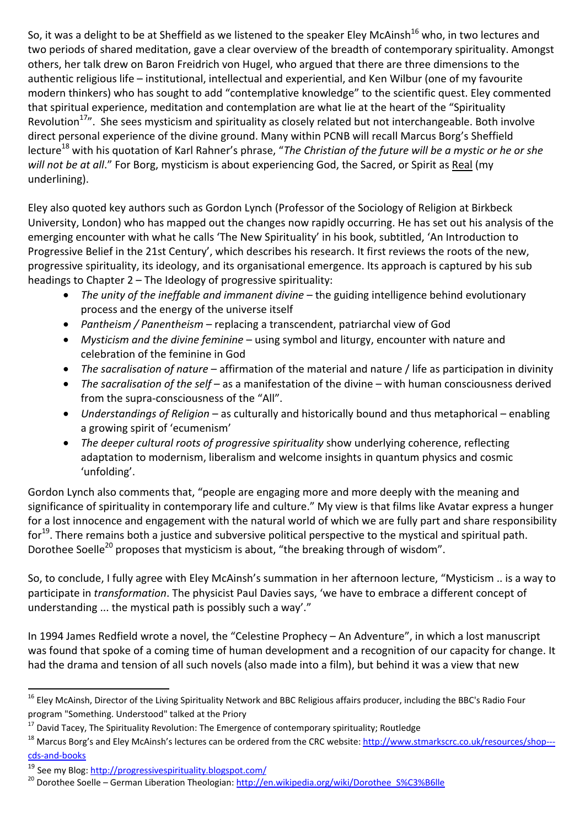So, it was a delight to be at Sheffield as we listened to the speaker Eley McAinsh<sup>16</sup> who, in two lectures and two periods of shared meditation, gave a clear overview of the breadth of contemporary spirituality. Amongst others, her talk drew on Baron Freidrich von Hugel, who argued that there are three dimensions to the authentic religious life – institutional, intellectual and experiential, and Ken Wilbur (one of my favourite modern thinkers) who has sought to add "contemplative knowledge" to the scientific quest. Eley commented that spiritual experience, meditation and contemplation are what lie at the heart of the "Spirituality Revolution<sup>17</sup>". She sees mysticism and spirituality as closely related but not interchangeable. Both involve direct personal experience of the divine ground. Many within PCNB will recall Marcus Borg's Sheffield lecture<sup>18</sup> with his quotation of Karl Rahner's phrase, "*The Christian of the future will be a mystic or he or she will not be at all*." For Borg, mysticism is about experiencing God, the Sacred, or Spirit as Real (my underlining).

Eley also quoted key authors such as Gordon Lynch (Professor of the Sociology of Religion at Birkbeck University, London) who has mapped out the changes now rapidly occurring. He has set out his analysis of the emerging encounter with what he calls 'The New Spirituality' in his book, subtitled, 'An Introduction to Progressive Belief in the 21st Century', which describes his research. It first reviews the roots of the new, progressive spirituality, its ideology, and its organisational emergence. Its approach is captured by his sub headings to Chapter 2 – The Ideology of progressive spirituality:

- *The unity of the ineffable and immanent divine* the guiding intelligence behind evolutionary process and the energy of the universe itself
- *Pantheism / Panentheism* replacing a transcendent, patriarchal view of God
- *Mysticism and the divine feminine* using symbol and liturgy, encounter with nature and celebration of the feminine in God
- *The sacralisation of nature* affirmation of the material and nature / life as participation in divinity
- *The sacralisation of the self* as a manifestation of the divine with human consciousness derived from the supra-consciousness of the "All".
- *Understandings of Religion* as culturally and historically bound and thus metaphorical enabling a growing spirit of 'ecumenism'
- *The deeper cultural roots of progressive spirituality* show underlying coherence, reflecting adaptation to modernism, liberalism and welcome insights in quantum physics and cosmic 'unfolding'.

Gordon Lynch also comments that, "people are engaging more and more deeply with the meaning and significance of spirituality in contemporary life and culture." My view is that films like Avatar express a hunger for a lost innocence and engagement with the natural world of which we are fully part and share responsibility for<sup>19</sup>. There remains both a justice and subversive political perspective to the mystical and spiritual path. Dorothee Soelle<sup>20</sup> proposes that mysticism is about, "the breaking through of wisdom".

So, to conclude, I fully agree with Eley McAinsh's summation in her afternoon lecture, "Mysticism .. is a way to participate in *transformation*. The physicist Paul Davies says, 'we have to embrace a different concept of understanding ... the mystical path is possibly such a way'."

In 1994 James Redfield wrote a novel, the "Celestine Prophecy – An Adventure", in which a lost manuscript was found that spoke of a coming time of human development and a recognition of our capacity for change. It had the drama and tension of all such novels (also made into a film), but behind it was a view that new

 $\overline{a}$ <sup>16</sup> Eley McAinsh, Director of the Living Spirituality Network and BBC Religious affairs producer, including the BBC's Radio Four program "Something. Understood" talked at the Priory

<sup>&</sup>lt;sup>17</sup> David Tacey, The Spirituality Revolution: The Emergence of contemporary spirituality; Routledge<br><sup>18</sup> Marcus Borg's and Eley McAinsh's lectures can be ordered from the CRC website: http://www.stmarkscrc.co.uk/resources cds-and-books

<sup>&</sup>lt;sup>19</sup> See my Blog: http://progressivespirituality.blogspot.com/<br><sup>20</sup> Dorothee Soelle – German Liberation Theologian: http://en.wikipedia.org/wiki/Dorothee\_S%C3%B6lle